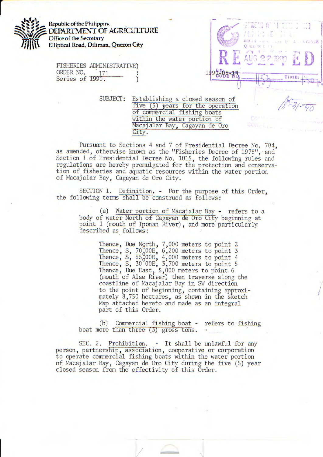

FISHERIES ADMINISTRATIVE) ORDER NO. 171 Series of 1990.

> SUBJECT: Establishing a closed season of five (5) years for the operation ot commercial fishing boats within the water portion of Macajalar Bay, Cagayan de Oro City.

**Final Evaluation** 

 $\begin{pmatrix} 1 & 1 \\ 1 & 1 \end{pmatrix}$ 8O Q EZ +N C **D F**  $\overline{M}$ L AUG

• '. r

**lME:** 

 $\Omega$  $\mathcal{F}$  **AVENUE** 

Pursuant to Sections 4 and 7 of Presidential Decree No. 704, as amended, otherwise known as the "Fisheries Decree of 1975", and Section 1 of Presidential Decree No. 1015, the following rules and regulations are hereby promulgated for the protection and conservation of fisheries and aquatic resources within the water portion of Macajalar Bay, Cagayan de Oro City.

SECTION 1. Definition. - For the purpose of this Order, the following terms shall be construed as follows:

> (a) Water portion of Macajalar Bay - refers to a body of water North of Cagayan de Oro City beginning at point 1 (mouth of Iponan River), and more particularly described as follows:

> > Thence, Due Ngrth, 7,000 meters to point 2 Thence,  $S$ ,  $70,00E$ ,  $6,200$  meters to point 3 Thence, S,  $55,00E$ , 4,000 meters to point 4 Thence, S, 30 OOE, 3,700 meters to point 5 Thence, Due East, 5,000 meters to point 6 (mouth of Alae River) then traverse along the coastline of Macajalar Bay in SW direction to the point of beginning, containing approximately 8,750 hectares, as shown in the sketch Map attached hereto and made as an integral part of this Order.

(b) Commercial fishing boat - refers to fishing boat more than three (3) gross tons.

SEC. 2. Prohibition. - It shall be unlawful for any person, partnership, association, cooperative or corporation to operate commercial fishing boats within the water portion of Macajalar Bay, Cagayan de Oro City during the five (5) year closed season from the effectivity of this Order.